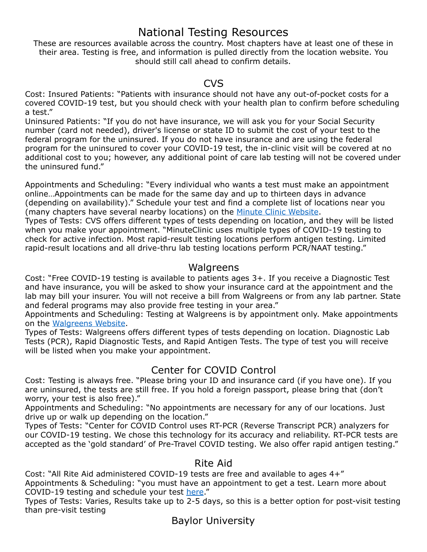# National Testing Resources

These are resources available across the country. Most chapters have at least one of these in their area. Testing is free, and information is pulled directly from the location website. You should still call ahead to confirm details.

#### CVS

Cost: Insured Patients: "Patients with insurance should not have any out-of-pocket costs for a covered COVID-19 test, but you should check with your health plan to confirm before scheduling a test."

Uninsured Patients: "If you do not have insurance, we will ask you for your Social Security number (card not needed), driver's license or state ID to submit the cost of your test to the federal program for the uninsured. If you do not have insurance and are using the federal program for the uninsured to cover your COVID-19 test, the in-clinic visit will be covered at no additional cost to you; however, any additional point of care lab testing will not be covered under the uninsured fund."

Appointments and Scheduling: "Every individual who wants a test must make an appointment online…Appointments can be made for the same day and up to thirteen days in advance (depending on availability)." Schedule your test and find a complete list of locations near you (many chapters have several nearby locations) on the [Minute Clinic Website.](https://www.cvs.com/minuteclinic/covid-19-testing)

Types of Tests: CVS offers different types of tests depending on location, and they will be listed when you make your appointment. "MinuteClinic uses multiple types of COVID-19 testing to check for active infection. Most rapid-result testing locations perform antigen testing. Limited rapid-result locations and all drive-thru lab testing locations perform PCR/NAAT testing."

#### Walgreens

Cost: "Free COVID-19 testing is available to patients ages 3+. If you receive a Diagnostic Test and have insurance, you will be asked to show your insurance card at the appointment and the lab may bill your insurer. You will not receive a bill from Walgreens or from any lab partner. State and federal programs may also provide free testing in your area."

Appointments and Scheduling: Testing at Walgreens is by appointment only. Make appointments on the [Walgreens Website.](https://www.walgreens.com/findcare/covid19/testing?ext=gmb#!)

Types of Tests: Walgreens offers different types of tests depending on location. Diagnostic Lab Tests (PCR), Rapid Diagnostic Tests, and Rapid Antigen Tests. The type of test you will receive will be listed when you make your appointment.

#### Center for COVID Control

Cost: Testing is always free. "Please bring your ID and insurance card (if you have one). If you are uninsured, the tests are still free. If you hold a foreign passport, please bring that (don't worry, your test is also free)."

Appointments and Scheduling: "No appointments are necessary for any of our locations. Just drive up or walk up depending on the location."

Types of Tests: "Center for COVID Control uses RT-PCR (Reverse Transcript PCR) analyzers for our COVID-19 testing. We chose this technology for its accuracy and reliability. RT-PCR tests are accepted as the 'gold standard' of Pre-Travel COVID testing. We also offer rapid antigen testing."

#### Rite Aid

Cost: "All Rite Aid administered COVID-19 tests are free and available to ages 4+"

Appointments & Scheduling: "you must have an appointment to get a test. Learn more about COVID-19 testing and schedule your test [here](https://www.riteaid.com/pharmacy/services/covid-19-testing)."

Types of Tests: Varies, Results take up to 2-5 days, so this is a better option for post-visit testing than pre-visit testing

Baylor University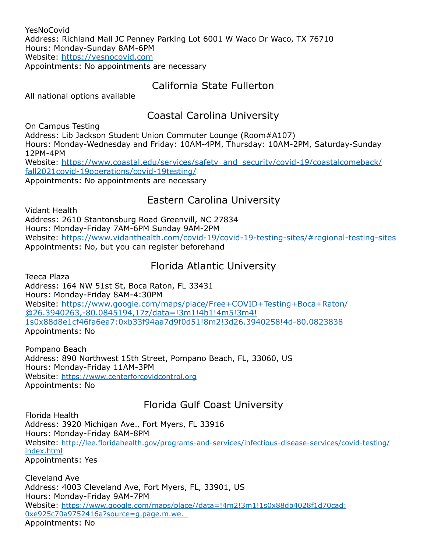YesNoCovid Address: Richland Mall JC Penney Parking Lot 6001 W Waco Dr Waco, TX 76710 Hours: Monday-Sunday 8AM-6PM Website:<https://yesnocovid.com> Appointments: No appointments are necessary

#### California State Fullerton

All national options available

## Coastal Carolina University

On Campus Testing Address: Lib Jackson Student Union Commuter Lounge (Room#A107) Hours: Monday-Wednesday and Friday: 10AM-4PM, Thursday: 10AM-2PM, Saturday-Sunday 12PM-4PM [Website: https://www.coastal.edu/services/safety\\_and\\_security/covid-19/coastalcomeback/](https://www.coastal.edu/services/safety_and_security/covid-19/coastalcomeback/fall2021covid-19operations/covid-19testing/) [fall2021covid-19operations/covid-19testing/](https://www.coastal.edu/services/safety_and_security/covid-19/coastalcomeback/fall2021covid-19operations/covid-19testing/) Appointments: No appointments are necessary

## Eastern Carolina University

Vidant Health Address: 2610 Stantonsburg Road Greenvill, NC 27834 Hours: Monday-Friday 7AM-6PM Sunday 9AM-2PM Website:<https://www.vidanthealth.com/covid-19/covid-19-testing-sites/#regional-testing-sites> Appointments: No, but you can register beforehand

#### Florida Atlantic University

Teeca Plaza Address: 164 NW 51st St, Boca Raton, FL 33431 Hours: Monday-Friday 8AM-4:30PM [Website: https://www.google.com/maps/place/Free+COVID+Testing+Boca+Raton/](https://www.google.com/maps/place/Free+COVID+Testing+Boca+Raton/@26.3940263,-80.0845194,17z/data=!3m1!4b1!4m5!3m4!1s0x88d8e1cf46fa6ea7:0xb33f94aa7d9f0d51!8m2!3d26.3940258!4d-80.0823838) [@26.3940263,-80.0845194,17z/data=!3m1!4b1!4m5!3m4!](https://www.google.com/maps/place/Free+COVID+Testing+Boca+Raton/@26.3940263,-80.0845194,17z/data=!3m1!4b1!4m5!3m4!1s0x88d8e1cf46fa6ea7:0xb33f94aa7d9f0d51!8m2!3d26.3940258!4d-80.0823838) [1s0x88d8e1cf46fa6ea7:0xb33f94aa7d9f0d51!8m2!3d26.3940258!4d-80.0823838](https://www.google.com/maps/place/Free+COVID+Testing+Boca+Raton/@26.3940263,-80.0845194,17z/data=!3m1!4b1!4m5!3m4!1s0x88d8e1cf46fa6ea7:0xb33f94aa7d9f0d51!8m2!3d26.3940258!4d-80.0823838) Appointments: No

Pompano Beach Address: 890 Northwest 15th Street, Pompano Beach, FL, 33060, US Hours: Monday-Friday 11AM-3PM Website: [https://www.centerforcovidcontrol.org](https://www.centerforcovidcontrol.org/) Appointments: No

# Florida Gulf Coast University

Florida Health Address: 3920 Michigan Ave., Fort Myers, FL 33916 Hours: Monday-Friday 8AM-8PM [Website: http://lee.floridahealth.gov/programs-and-services/infectious-disease-services/covid-testing/](http://lee.floridahealth.gov/programs-and-services/infectious-disease-services/covid-testing/index.html) [index.html](http://lee.floridahealth.gov/programs-and-services/infectious-disease-services/covid-testing/index.html) Appointments: Yes

Cleveland Ave Address: 4003 Cleveland Ave, Fort Myers, FL, 33901, US Hours: Monday-Friday 9AM-7PM [Website: https://www.google.com/maps/place//data=!4m2!3m1!1s0x88db4028f1d70cad:](https://www.google.com/maps/place//data=!4m2!3m1!1s0x88db4028f1d70cad:0xe925c70a9752416a?source=g.page.m.we._) [0xe925c70a9752416a?source=g.page.m.we.\\_](https://www.google.com/maps/place//data=!4m2!3m1!1s0x88db4028f1d70cad:0xe925c70a9752416a?source=g.page.m.we._) Appointments: No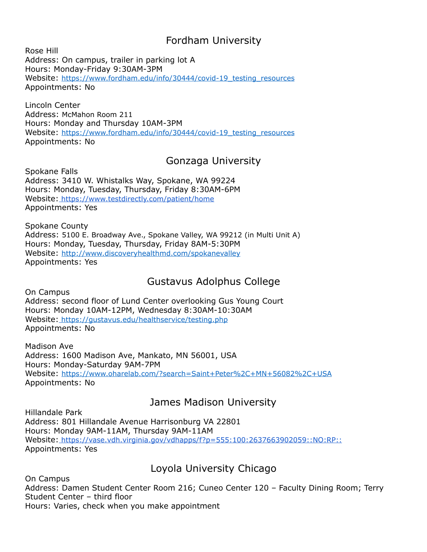## Fordham University

Rose Hill Address: On campus, trailer in parking lot A Hours: Monday-Friday 9:30AM-3PM Website: [https://www.fordham.edu/info/30444/covid-19\\_testing\\_resources](https://www.fordham.edu/info/30444/covid-19_testing_resources) Appointments: No

Lincoln Center Address: McMahon Room 211 Hours: Monday and Thursday 10AM-3PM Website: [https://www.fordham.edu/info/30444/covid-19\\_testing\\_resources](https://www.fordham.edu/info/30444/covid-19_testing_resources) Appointments: No

#### Gonzaga University

Spokane Falls Address: 3410 W. Whistalks Way, Spokane, WA 99224 Hours: Monday, Tuesday, Thursday, Friday 8:30AM-6PM Website: https://www.testdirectly.com/patient/home Appointments: Yes

Spokane County Address: 5100 E. Broadway Ave., Spokane Valley, WA 99212 (in Multi Unit A) Hours: Monday, Tuesday, Thursday, Friday 8AM-5:30PM Website:<http://www.discoveryhealthmd.com/spokanevalley> Appointments: Yes

#### Gustavus Adolphus College

On Campus Address: second floor of Lund Center overlooking Gus Young Court Hours: Monday 10AM-12PM, Wednesday 8:30AM-10:30AM Website: <https://gustavus.edu/healthservice/testing.php> Appointments: No

Madison Ave Address: 1600 Madison Ave, Mankato, MN 56001, USA Hours: Monday-Saturday 9AM-7PM Website: [https://www.oharelab.com/?search=Saint+Peter%2C+MN+56082%2C+USA](https://www.oharelab.com/?search=Saint+Peter%252C+MN+56082%252C+USA) Appointments: No

# James Madison University

Hillandale Park Address: 801 Hillandale Avenue Harrisonburg VA 22801 Hours: Monday 9AM-11AM, Thursday 9AM-11AM Website: https://vase.vdh.virginia.gov/vdhapps/f?p=555:100:2637663902059::NO:RP:: Appointments: Yes

#### Loyola University Chicago

On Campus Address: Damen Student Center Room 216; Cuneo Center 120 – Faculty Dining Room; Terry Student Center – third floor Hours: Varies, check when you make appointment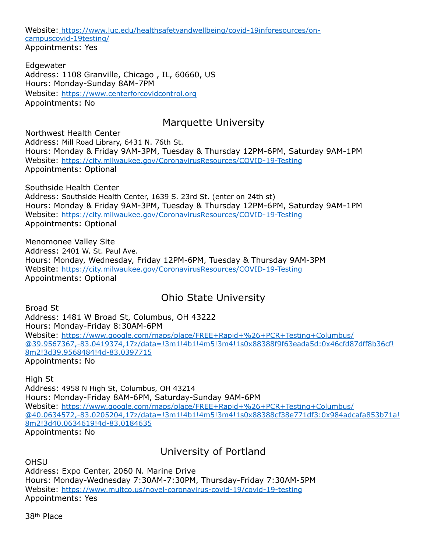Website: [https://www.luc.edu/healthsafetyandwellbeing/covid-19inforesources/on](https://www.luc.edu/healthsafetyandwellbeing/covid-19inforesources/on-campuscovid-19testing/)[campuscovid-19testing/](https://www.luc.edu/healthsafetyandwellbeing/covid-19inforesources/on-campuscovid-19testing/) Appointments: Yes

Edgewater Address: 1108 Granville, Chicago , IL, 60660, US Hours: Monday-Sunday 8AM-7PM Website: https://www.centerforcovidcontrol.org Appointments: No

#### Marquette University

Northwest Health Center Address: Mill Road Library, 6431 N. 76th St. Hours: Monday & Friday 9AM-3PM, Tuesday & Thursday 12PM-6PM, Saturday 9AM-1PM Website:<https://city.milwaukee.gov/CoronavirusResources/COVID-19-Testing> Appointments: Optional

Southside Health Center Address: Southside Health Center, 1639 S. 23rd St. (enter on 24th st) Hours: Monday & Friday 9AM-3PM, Tuesday & Thursday 12PM-6PM, Saturday 9AM-1PM Website:<https://city.milwaukee.gov/CoronavirusResources/COVID-19-Testing> Appointments: Optional

Menomonee Valley Site Address: 2401 W. St. Paul Ave. Hours: Monday, Wednesday, Friday 12PM-6PM, Tuesday & Thursday 9AM-3PM Website:<https://city.milwaukee.gov/CoronavirusResources/COVID-19-Testing> Appointments: Optional

#### Ohio State University

Broad St Address: 1481 W Broad St, Columbus, OH 43222 Hours: Monday-Friday 8:30AM-6PM Website: [https://www.google.com/maps/place/FREE+Rapid+%26+PCR+Testing+Columbus/](https://www.google.com/maps/place/FREE+Rapid+%2526+PCR+Testing+Columbus/@39.9567367,-83.0419374,17z/data=!3m1!4b1!4m5!3m4!1s0x88388f9f63eada5d:0x46cfd87dff8b36cf!8m2!3d39.9568484!4d-83.0397715) [@39.9567367,-83.0419374,17z/data=!3m1!4b1!4m5!3m4!1s0x88388f9f63eada5d:0x46cfd87dff8b36cf!](https://www.google.com/maps/place/FREE+Rapid+%2526+PCR+Testing+Columbus/@39.9567367,-83.0419374,17z/data=!3m1!4b1!4m5!3m4!1s0x88388f9f63eada5d:0x46cfd87dff8b36cf!8m2!3d39.9568484!4d-83.0397715) [8m2!3d39.9568484!4d-83.0397715](https://www.google.com/maps/place/FREE+Rapid+%2526+PCR+Testing+Columbus/@39.9567367,-83.0419374,17z/data=!3m1!4b1!4m5!3m4!1s0x88388f9f63eada5d:0x46cfd87dff8b36cf!8m2!3d39.9568484!4d-83.0397715) Appointments: No

High St Address: 4958 N High St, Columbus, OH 43214 Hours: Monday-Friday 8AM-6PM, Saturday-Sunday 9AM-6PM Website: [https://www.google.com/maps/place/FREE+Rapid+%26+PCR+Testing+Columbus/](https://www.google.com/maps/place/FREE+Rapid+%2526+PCR+Testing+Columbus/@40.0634572,-83.0205204,17z/data=!3m1!4b1!4m5!3m4!1s0x88388cf38e771df3:0x984adcafa853b71a!8m2!3d40.0634619!4d-83.0184635) [@40.0634572,-83.0205204,17z/data=!3m1!4b1!4m5!3m4!1s0x88388cf38e771df3:0x984adcafa853b71a!](https://www.google.com/maps/place/FREE+Rapid+%2526+PCR+Testing+Columbus/@40.0634572,-83.0205204,17z/data=!3m1!4b1!4m5!3m4!1s0x88388cf38e771df3:0x984adcafa853b71a!8m2!3d40.0634619!4d-83.0184635) [8m2!3d40.0634619!4d-83.0184635](https://www.google.com/maps/place/FREE+Rapid+%2526+PCR+Testing+Columbus/@40.0634572,-83.0205204,17z/data=!3m1!4b1!4m5!3m4!1s0x88388cf38e771df3:0x984adcafa853b71a!8m2!3d40.0634619!4d-83.0184635) Appointments: No

University of Portland

**OHSU** Address: Expo Center, 2060 N. Marine Drive Hours: Monday-Wednesday 7:30AM-7:30PM, Thursday-Friday 7:30AM-5PM Website:<https://www.multco.us/novel-coronavirus-covid-19/covid-19-testing> Appointments: Yes

38th Place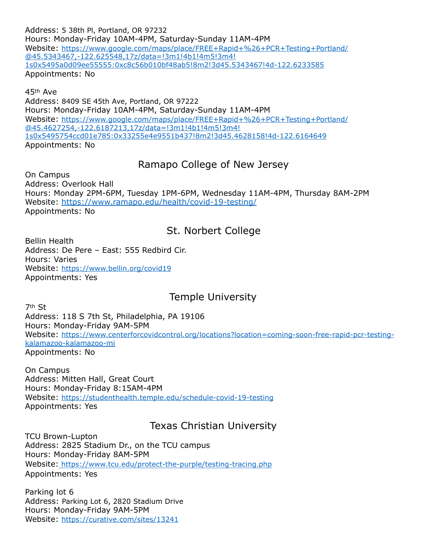Address: 5 38th Pl, Portland, OR 97232 Hours: Monday-Friday 10AM-4PM, Saturday-Sunday 11AM-4PM [Website: https://www.google.com/maps/place/FREE+Rapid+%26+PCR+Testing+Portland/](https://www.google.com/maps/place/FREE+Rapid+%2526+PCR+Testing+Portland/@45.5343467,-122.625548,17z/data=!3m1!4b1!4m5!3m4!1s0x5495a0d09ee55555:0xc8c56b010bf48ab5!8m2!3d45.5343467!4d-122.6233585) [@45.5343467,-122.625548,17z/data=!3m1!4b1!4m5!3m4!](https://www.google.com/maps/place/FREE+Rapid+%2526+PCR+Testing+Portland/@45.5343467,-122.625548,17z/data=!3m1!4b1!4m5!3m4!1s0x5495a0d09ee55555:0xc8c56b010bf48ab5!8m2!3d45.5343467!4d-122.6233585) [1s0x5495a0d09ee55555:0xc8c56b010bf48ab5!8m2!3d45.5343467!4d-122.6233585](https://www.google.com/maps/place/FREE+Rapid+%2526+PCR+Testing+Portland/@45.5343467,-122.625548,17z/data=!3m1!4b1!4m5!3m4!1s0x5495a0d09ee55555:0xc8c56b010bf48ab5!8m2!3d45.5343467!4d-122.6233585) Appointments: No

45th Ave Address: 8409 SE 45th Ave, Portland, OR 97222 Hours: Monday-Friday 10AM-4PM, Saturday-Sunday 11AM-4PM [Website: https://www.google.com/maps/place/FREE+Rapid+%26+PCR+Testing+Portland/](https://www.google.com/maps/place/FREE+Rapid+%2526+PCR+Testing+Portland/@45.4627254,-122.6187213,17z/data=!3m1!4b1!4m5!3m4!1s0x5495754ccd01e785:0x33255e4e9551b437!8m2!3d45.4628158!4d-122.6164649) [@45.4627254,-122.6187213,17z/data=!3m1!4b1!4m5!3m4!](https://www.google.com/maps/place/FREE+Rapid+%2526+PCR+Testing+Portland/@45.4627254,-122.6187213,17z/data=!3m1!4b1!4m5!3m4!1s0x5495754ccd01e785:0x33255e4e9551b437!8m2!3d45.4628158!4d-122.6164649) [1s0x5495754ccd01e785:0x33255e4e9551b437!8m2!3d45.4628158!4d-122.6164649](https://www.google.com/maps/place/FREE+Rapid+%2526+PCR+Testing+Portland/@45.4627254,-122.6187213,17z/data=!3m1!4b1!4m5!3m4!1s0x5495754ccd01e785:0x33255e4e9551b437!8m2!3d45.4628158!4d-122.6164649) Appointments: No

## Ramapo College of New Jersey

On Campus Address: Overlook Hall Hours: Monday 2PM-6PM, Tuesday 1PM-6PM, Wednesday 11AM-4PM, Thursday 8AM-2PM Website:<https://www.ramapo.edu/health/covid-19-testing/> Appointments: No

#### St. Norbert College

Bellin Health Address: De Pere – East: 555 Redbird Cir. Hours: Varies Website:<https://www.bellin.org/covid19> Appointments: Yes

#### Temple University

7th St Address: 118 S 7th St, Philadelphia, PA 19106 Hours: Monday-Friday 9AM-5PM [Website: https://www.centerforcovidcontrol.org/locations?location=coming-soon-free-rapid-pcr-testing](https://www.centerforcovidcontrol.org/locations?location=coming-soon-free-rapid-pcr-testing-kalamazoo-kalamazoo-mi)[kalamazoo-kalamazoo-mi](https://www.centerforcovidcontrol.org/locations?location=coming-soon-free-rapid-pcr-testing-kalamazoo-kalamazoo-mi) Appointments: No

On Campus Address: Mitten Hall, Great Court Hours: Monday-Friday 8:15AM-4PM Website:<https://studenthealth.temple.edu/schedule-covid-19-testing> Appointments: Yes

#### Texas Christian University

TCU Brown-Lupton Address: 2825 Stadium Dr., on the TCU campus Hours: Monday-Friday 8AM-5PM Website: <https://www.tcu.edu/protect-the-purple/testing-tracing.php> Appointments: Yes

Parking lot 6 Address: Parking Lot 6, 2820 Stadium Drive Hours: Monday-Friday 9AM-5PM Website:<https://curative.com/sites/13241>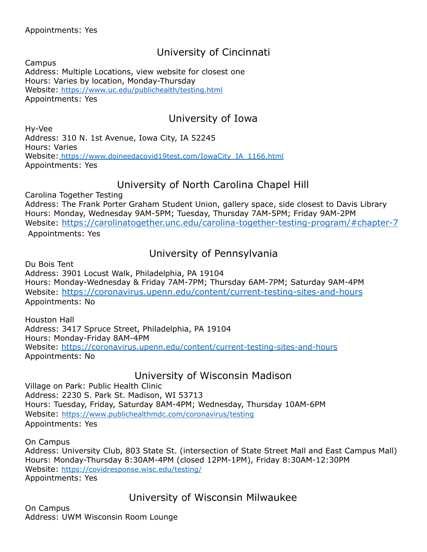# University of Cincinnati

Campus Address: Multiple Locations, view website for closest one Hours: Varies by location, Monday-Thursday Website: https://www.uc.edu/publichealth/testing.html Appointments: Yes

## University of Iowa

Hy-Vee Address: 310 N. 1st Avenue, Iowa City, IA 52245 Hours: Varies Website: [https://www.doineedacovid19test.com/IowaCity\\_IA\\_1166.html](https://www.doineedacovid19test.com/IowaCity_IA_1166.html) Appointments: Yes

#### University of North Carolina Chapel Hill

Carolina Together Testing Address: The Frank Porter Graham Student Union, gallery space, side closest to Davis Library Hours: Monday, Wednesday 9AM-5PM; Tuesday, Thursday 7AM-5PM; Friday 9AM-2PM Website: <https://carolinatogether.unc.edu/carolina-together-testing-program/#chapter-7> Appointments: Yes

## University of Pennsylvania

Du Bois Tent Address: 3901 Locust Walk, Philadelphia, PA 19104 Hours: Monday-Wednesday & Friday 7AM-7PM; Thursday 6AM-7PM; Saturday 9AM-4PM Website: <https://coronavirus.upenn.edu/content/current-testing-sites-and-hours> Appointments: No

Houston Hall Address: 3417 Spruce Street, Philadelphia, PA 19104 Hours: Monday-Friday 8AM-4PM Website:<https://coronavirus.upenn.edu/content/current-testing-sites-and-hours> Appointments: No

#### University of Wisconsin Madison

Village on Park: Public Health Clinic Address: 2230 S. Park St. Madison, WI 53713 Hours: Tuesday, Friday, Saturday 8AM-4PM; Wednesday, Thursday 10AM-6PM Website: <https://www.publichealthmdc.com/coronavirus/testing> Appointments: Yes

On Campus Address: University Club, 803 State St. (intersection of State Street Mall and East Campus Mall) Hours: Monday-Thursday 8:30AM-4PM (closed 12PM-1PM), Friday 8:30AM-12:30PM Website:<https://covidresponse.wisc.edu/testing/> Appointments: Yes

University of Wisconsin Milwaukee

On Campus Address: UWM Wisconsin Room Lounge